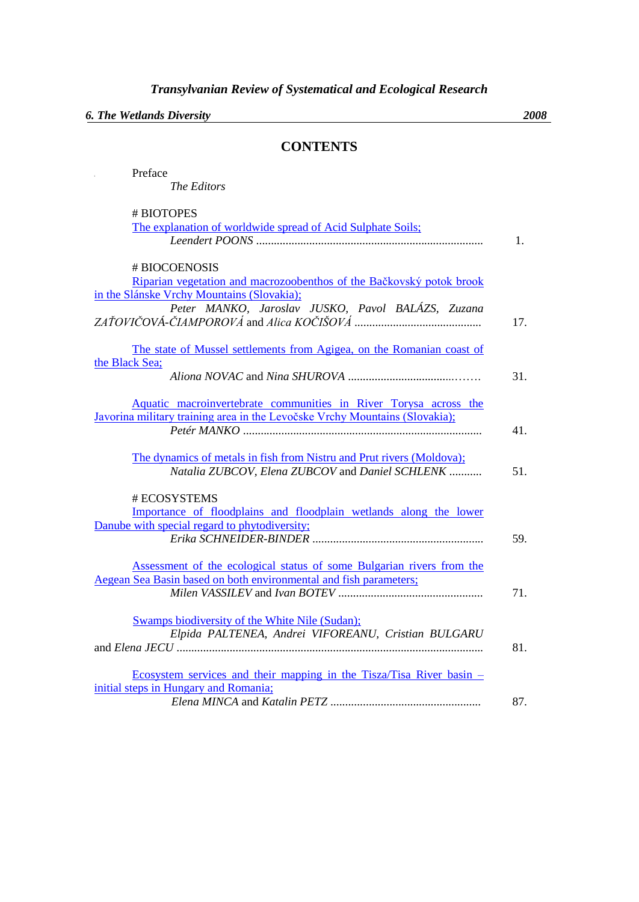*6. The Wetlands Diversity 2008*

## **CONTENTS**

| Preface                                                                                  |     |
|------------------------------------------------------------------------------------------|-----|
| The Editors                                                                              |     |
| # BIOTOPES                                                                               |     |
| The explanation of worldwide spread of Acid Sulphate Soils;                              |     |
|                                                                                          | 1.  |
|                                                                                          |     |
| # BIOCOENOSIS                                                                            |     |
| Riparian vegetation and macrozoobenthos of the Bačkovský potok brook                     |     |
| in the Slánske Vrchy Mountains (Slovakia);                                               |     |
| Peter MANKO, Jaroslav JUSKO, Pavol BALÁZS, Zuzana                                        |     |
|                                                                                          | 17. |
|                                                                                          |     |
| The state of Mussel settlements from Agigea, on the Romanian coast of<br>the Black Sea;  |     |
|                                                                                          | 31. |
|                                                                                          |     |
| Aquatic macroinvertebrate communities in River Torysa across the                         |     |
| Javorina military training area in the Levočske Vrchy Mountains (Slovakia);              |     |
|                                                                                          | 41. |
|                                                                                          |     |
| The dynamics of metals in fish from Nistru and Prut rivers (Moldova);                    |     |
| Natalia ZUBCOV, Elena ZUBCOV and Daniel SCHLENK                                          | 51. |
| # ECOSYSTEMS                                                                             |     |
| Importance of floodplains and floodplain wetlands along the lower                        |     |
| Danube with special regard to phytodiversity;                                            |     |
|                                                                                          | 59. |
|                                                                                          |     |
| Assessment of the ecological status of some Bulgarian rivers from the                    |     |
| Aegean Sea Basin based on both environmental and fish parameters;                        |     |
|                                                                                          | 71. |
|                                                                                          |     |
| <b>Swamps biodiversity of the White Nile (Sudan);</b>                                    |     |
| Elpida PALTENEA, Andrei VIFOREANU, Cristian BULGARU                                      |     |
|                                                                                          | 81. |
| <u>Ecosystem services and their mapping in the Tisza/Tisa River basin <math>-</math></u> |     |
| initial steps in Hungary and Romania;                                                    |     |
|                                                                                          | 87. |